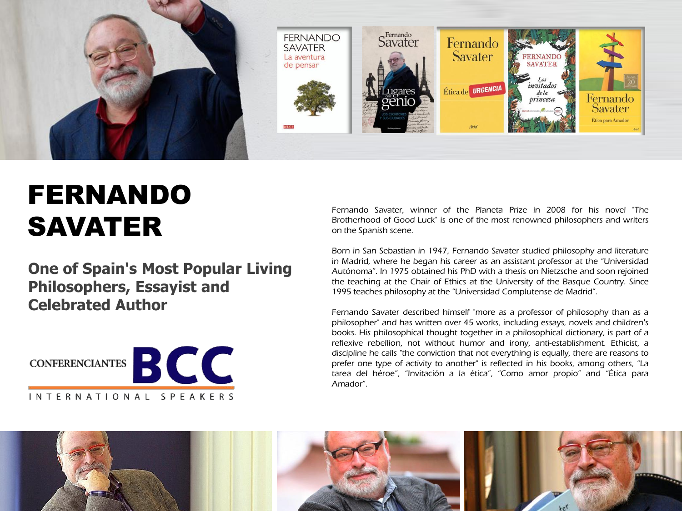

## FERNANDO SAVATER

**One of Spain's Most Popular Living Philosophers, Essayist and Celebrated Author**



Fernando Savater, winner of the Planeta Prize in 2008 for his novel "The Brotherhood of Good Luck" is one of the most renowned philosophers and writers on the Spanish scene.

Born in San Sebastian in 1947, Fernando Savater studied philosophy and literature in Madrid, where he began his career as an assistant professor at the "Universidad Autónoma". In 1975 obtained his PhD with a thesis on Nietzsche and soon rejoined the teaching at the Chair of Ethics at the University of the Basque Country. Since 1995 teaches philosophy at the "Universidad Complutense de Madrid".

Fernando Savater described himself "more as a professor of philosophy than as a philosopher" and has written over 45 works, including essays, novels and children′s books. His philosophical thought together in a philosophical dictionary, is part of a reflexive rebellion, not without humor and irony, anti-establishment. Ethicist, a discipline he calls "the conviction that not everything is equally, there are reasons to prefer one type of activity to another" is reflected in his books, among others, "La tarea del héroe", "Invitación a la ética", "Como amor propio" and "Ética para Amador".